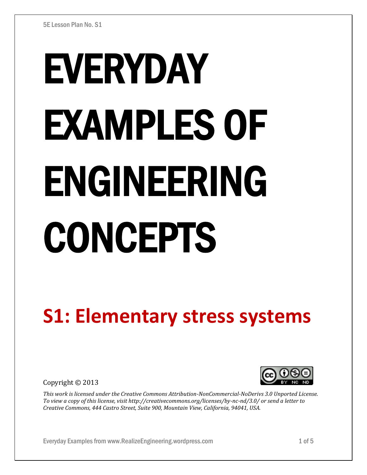# EVERYDAY EXAMPLES OF ENGINEERING CONCEPTS

# **S1: Elementary stress systems**

Copyright © 2013



*This work is licensed under the Creative Commons Attribution-NonCommercial-NoDerivs 3.0 Unported License. To view a copy of this license, visit http://creativecommons.org/licenses/by-nc-nd/3.0/ or send a letter to Creative Commons, 444 Castro Street, Suite 900, Mountain View, California, 94041, USA.*

Everyday Examples from www.RealizeEngineering.wordpress.com 1 of 5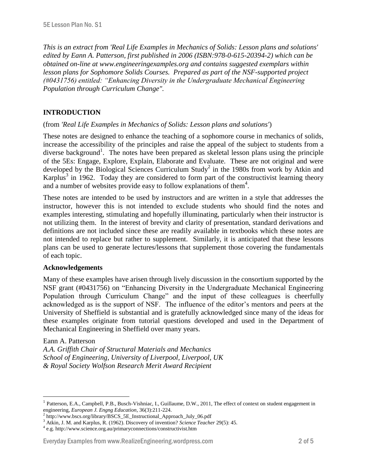*This is an extract from 'Real Life Examples in Mechanics of Solids: Lesson plans and solutions' edited by Eann A. Patterson, first published in 2006 (ISBN:978-0-615-20394-2) which can be obtained on-line at www.engineeringexamples.org and contains suggested exemplars within lesson plans for Sophomore Solids Courses. Prepared as part of the NSF-supported project (#0431756) entitled: "Enhancing Diversity in the Undergraduate Mechanical Engineering Population through Curriculum Change".* 

# **INTRODUCTION**

#### (from *'Real Life Examples in Mechanics of Solids: Lesson plans and solutions'*)

These notes are designed to enhance the teaching of a sophomore course in mechanics of solids, increase the accessibility of the principles and raise the appeal of the subject to students from a diverse background<sup>1</sup>. The notes have been prepared as skeletal lesson plans using the principle of the 5Es: Engage, Explore, Explain, Elaborate and Evaluate. These are not original and were developed by the Biological Sciences Curriculum Study<sup>2</sup> in the 1980s from work by Atkin and Karplus<sup>3</sup> in 1962. Today they are considered to form part of the constructivist learning theory and a number of websites provide easy to follow explanations of them<sup>4</sup>.

These notes are intended to be used by instructors and are written in a style that addresses the instructor, however this is not intended to exclude students who should find the notes and examples interesting, stimulating and hopefully illuminating, particularly when their instructor is not utilizing them. In the interest of brevity and clarity of presentation, standard derivations and definitions are not included since these are readily available in textbooks which these notes are not intended to replace but rather to supplement. Similarly, it is anticipated that these lessons plans can be used to generate lectures/lessons that supplement those covering the fundamentals of each topic.

#### **Acknowledgements**

Many of these examples have arisen through lively discussion in the consortium supported by the NSF grant (#0431756) on "Enhancing Diversity in the Undergraduate Mechanical Engineering Population through Curriculum Change" and the input of these colleagues is cheerfully acknowledged as is the support of NSF. The influence of the editor's mentors and peers at the University of Sheffield is substantial and is gratefully acknowledged since many of the ideas for these examples originate from tutorial questions developed and used in the Department of Mechanical Engineering in Sheffield over many years.

#### Eann A. Patterson

 $\overline{a}$ 

*A.A. Griffith Chair of Structural Materials and Mechanics School of Engineering, University of Liverpool, Liverpool, UK & Royal Society Wolfson Research Merit Award Recipient*

#### Everyday Examples from www.RealizeEngineering.wordpress.com 2 of 5

<sup>1</sup> Patterson, E.A., Campbell, P.B., Busch-Vishniac, I., Guillaume, D.W., 2011, The effect of context on student engagement in engineering, *European J. Engng Education*, 36(3):211-224.

<sup>&</sup>lt;sup>2</sup> http://www.bscs.org/library/BSCS\_5E\_Instructional\_Approach\_July\_06.pdf

<sup>3</sup> Atkin, J. M. and Karplus, R. (1962). Discovery of invention? *Science Teacher* 29(5): 45.

<sup>4</sup> e.g. http://www.science.org.au/primaryconnections/constructivist.htm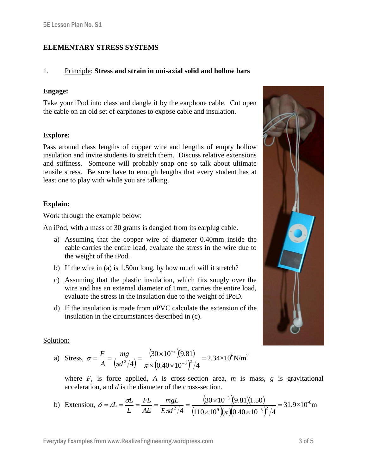# **ELEMENTARY STRESS SYSTEMS**

#### 1. Principle: **Stress and strain in uni-axial solid and hollow bars**

#### **Engage:**

Take your iPod into class and dangle it by the earphone cable. Cut open the cable on an old set of earphones to expose cable and insulation.

# **Explore:**

Pass around class lengths of copper wire and lengths of empty hollow insulation and invite students to stretch them. Discuss relative extensions and stiffness. Someone will probably snap one so talk about ultimate tensile stress. Be sure have to enough lengths that every student has at least one to play with while you are talking.

# **Explain:**

Work through the example below:

An iPod, with a mass of 30 grams is dangled from its earplug cable.

- a) Assuming that the copper wire of diameter 0.40mm inside the cable carries the entire load, evaluate the stress in the wire due to the weight of the iPod.
- b) If the wire in (a) is 1.50m long, by how much will it stretch?
- c) Assuming that the plastic insulation, which fits snugly over the wire and has an external diameter of 1mm, carries the entire load, evaluate the stress in the insulation due to the weight of iPoD.
- d) If the insulation is made from uPVC calculate the extension of the insulation in the circumstances described in (c).

#### Solution:

a) Stress, 
$$
\sigma = \frac{F}{A} = \frac{mg}{(\pi d^2/4)} = \frac{(30 \times 10^{-3})(9.81)}{\pi \times (0.40 \times 10^{-3})^2/4} = 2.34 \times 10^6 \text{N/m}^2
$$

where  $F$ , is force applied,  $A$  is cross-section area,  $m$  is mass,  $g$  is gravitational acceleration, and *d* is the diameter of the cross-section.

b) Extension, 
$$
\delta = \varepsilon L = \frac{\sigma L}{E} = \frac{FL}{AE} = \frac{mgL}{E\pi d^2/4} = \frac{(30 \times 10^{-3})(9.81)(1.50)}{(110 \times 10^9)(\pi)(0.40 \times 10^{-3})^2/4} = 31.9 \times 10^{-6} \text{m}
$$

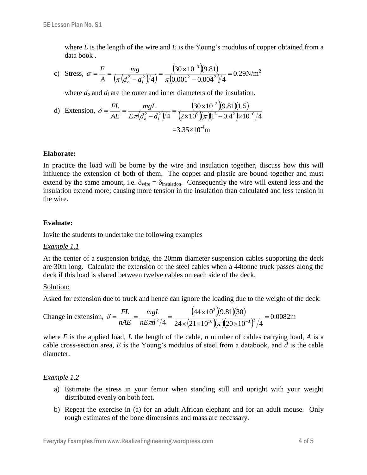where *L* is the length of the wire and *E* is the Young's modulus of copper obtained from a data book .

c) Stress, 
$$
\sigma = \frac{F}{A} = \frac{mg}{(\pi (d_o^2 - d_i^2)/4)} = \frac{(30 \times 10^{-3})(9.81)}{\pi (0.001^2 - 0.004^2)/4} = 0.29 \text{N/m}^2
$$

where  $d<sub>o</sub>$  and  $d<sub>i</sub>$  are the outer and inner diameters of the insulation.

d) Extension, 
$$
\delta = \frac{FL}{AE} = \frac{mgL}{E\pi (d_o^2 - d_i^2)/4} = \frac{(30 \times 10^{-3})(9.81)(1.5)}{(2 \times 10^9)(\pi)(1^2 - 0.4^2) \times 10^{-6}/4}
$$
  
= 3.35×10<sup>-4</sup>m

#### **Elaborate:**

In practice the load will be borne by the wire and insulation together, discuss how this will influence the extension of both of them. The copper and plastic are bound together and must extend by the same amount, i.e.  $\delta_{\text{wire}} = \delta_{\text{insulation}}$ . Consequently the wire will extend less and the insulation extend more; causing more tension in the insulation than calculated and less tension in the wire.

#### **Evaluate:**

Invite the students to undertake the following examples

#### *Example 1.1*

At the center of a suspension bridge, the 20mm diameter suspension cables supporting the deck are 30m long. Calculate the extension of the steel cables when a 44tonne truck passes along the deck if this load is shared between twelve cables on each side of the deck.

#### Solution:

Asked for extension due to truck and hence can ignore the loading due to the weight of the deck:

Change in extension, 
$$
\delta = \frac{FL}{nAE} = \frac{mgL}{nE\pi d^2/4} = \frac{(44 \times 10^3)(9.81)(30)}{24 \times (21 \times 10^{10})(\pi)(20 \times 10^{-3})^2/4} = 0.0082 \text{m}
$$

where *F* is the applied load, *L* the length of the cable, *n* number of cables carrying load, *A* is a cable cross-section area, *E* is the Young's modulus of steel from a databook, and *d* is the cable diameter.

#### *Example 1.2*

- a) Estimate the stress in your femur when standing still and upright with your weight distributed evenly on both feet.
- b) Repeat the exercise in (a) for an adult African elephant and for an adult mouse. Only rough estimates of the bone dimensions and mass are necessary.